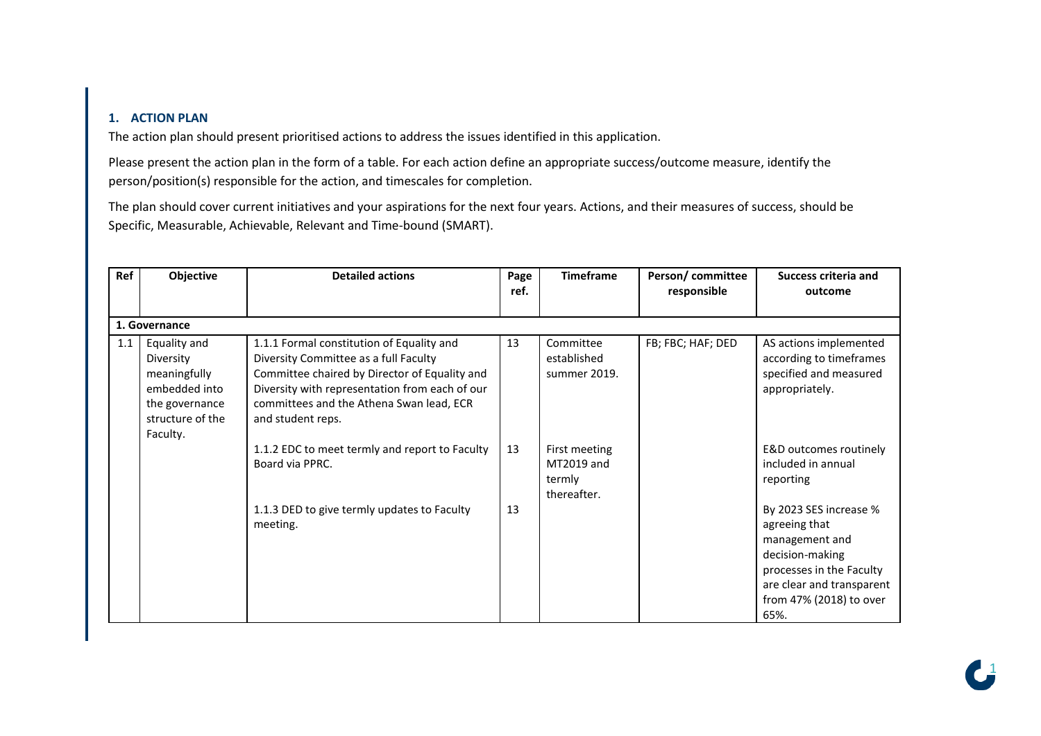## **1. ACTION PLAN**

The action plan should present prioritised actions to address the issues identified in this application.

Please present the action plan in the form of a table. For each action define an appropriate success/outcome measure, identify the person/position(s) responsible for the action, and timescales for completion.

The plan should cover current initiatives and your aspirations for the next four years. Actions, and their measures of success, should be Specific, Measurable, Achievable, Relevant and Time-bound (SMART).

| Ref | Objective                                                                                                    | <b>Detailed actions</b>                                                                                                                                                                                                                                | Page<br>ref. | <b>Timeframe</b>                                     | Person/committee<br>responsible | <b>Success criteria and</b><br>outcome                                                                                                                                   |  |  |  |  |
|-----|--------------------------------------------------------------------------------------------------------------|--------------------------------------------------------------------------------------------------------------------------------------------------------------------------------------------------------------------------------------------------------|--------------|------------------------------------------------------|---------------------------------|--------------------------------------------------------------------------------------------------------------------------------------------------------------------------|--|--|--|--|
|     | 1. Governance                                                                                                |                                                                                                                                                                                                                                                        |              |                                                      |                                 |                                                                                                                                                                          |  |  |  |  |
| 1.1 | Equality and<br>Diversity<br>meaningfully<br>embedded into<br>the governance<br>structure of the<br>Faculty. | 1.1.1 Formal constitution of Equality and<br>Diversity Committee as a full Faculty<br>Committee chaired by Director of Equality and<br>Diversity with representation from each of our<br>committees and the Athena Swan lead, ECR<br>and student reps. | 13           | Committee<br>established<br>summer 2019.             | FB; FBC; HAF; DED               | AS actions implemented<br>according to timeframes<br>specified and measured<br>appropriately.                                                                            |  |  |  |  |
|     |                                                                                                              | 1.1.2 EDC to meet termly and report to Faculty<br>Board via PPRC.                                                                                                                                                                                      | 13           | First meeting<br>MT2019 and<br>termly<br>thereafter. |                                 | E&D outcomes routinely<br>included in annual<br>reporting                                                                                                                |  |  |  |  |
|     |                                                                                                              | 1.1.3 DED to give termly updates to Faculty<br>meeting.                                                                                                                                                                                                | 13           |                                                      |                                 | By 2023 SES increase %<br>agreeing that<br>management and<br>decision-making<br>processes in the Faculty<br>are clear and transparent<br>from 47% (2018) to over<br>65%. |  |  |  |  |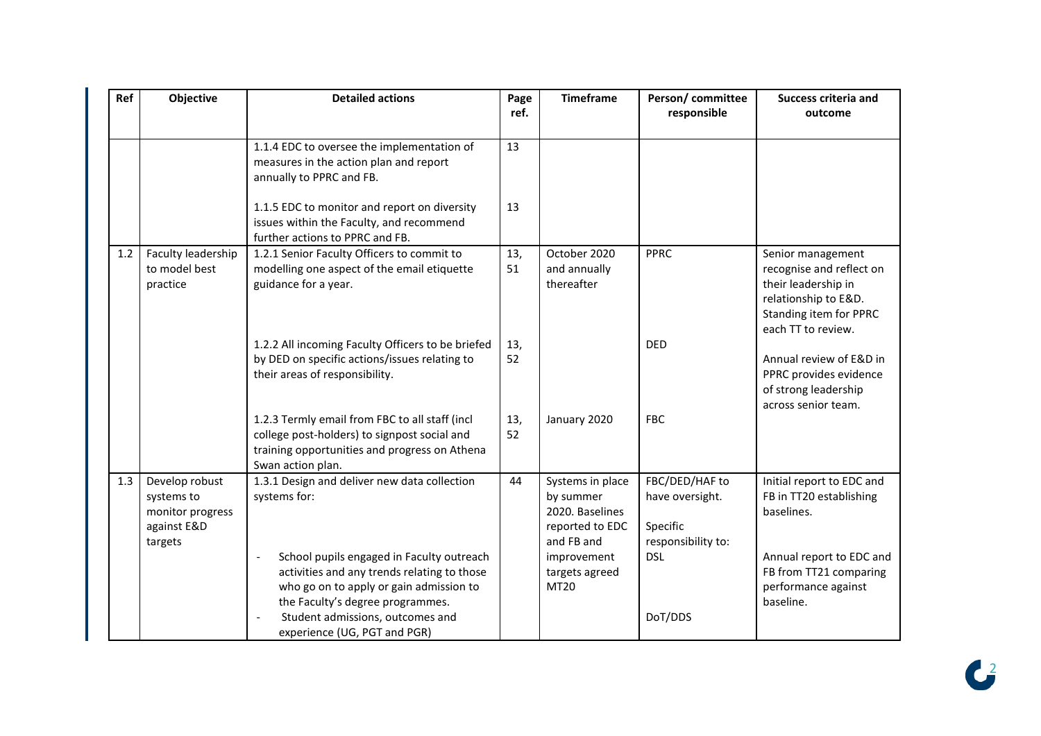| Ref | <b>Objective</b>                                                           | <b>Detailed actions</b>                                                                                                                                                                                                                 | Page<br>ref. | <b>Timeframe</b>                                                                                                           | Person/committee<br>responsible                                                   | <b>Success criteria and</b><br>outcome                                                                                                                       |
|-----|----------------------------------------------------------------------------|-----------------------------------------------------------------------------------------------------------------------------------------------------------------------------------------------------------------------------------------|--------------|----------------------------------------------------------------------------------------------------------------------------|-----------------------------------------------------------------------------------|--------------------------------------------------------------------------------------------------------------------------------------------------------------|
|     |                                                                            | 1.1.4 EDC to oversee the implementation of<br>measures in the action plan and report<br>annually to PPRC and FB.                                                                                                                        | 13           |                                                                                                                            |                                                                                   |                                                                                                                                                              |
|     |                                                                            | 1.1.5 EDC to monitor and report on diversity<br>issues within the Faculty, and recommend<br>further actions to PPRC and FB.                                                                                                             | 13           |                                                                                                                            |                                                                                   |                                                                                                                                                              |
| 1.2 | Faculty leadership<br>to model best<br>practice                            | 1.2.1 Senior Faculty Officers to commit to<br>modelling one aspect of the email etiquette<br>guidance for a year.                                                                                                                       | 13,<br>51    | October 2020<br>and annually<br>thereafter                                                                                 | <b>PPRC</b>                                                                       | Senior management<br>recognise and reflect on<br>their leadership in<br>relationship to E&D.<br>Standing item for PPRC<br>each TT to review.                 |
|     |                                                                            | 1.2.2 All incoming Faculty Officers to be briefed<br>by DED on specific actions/issues relating to<br>their areas of responsibility.                                                                                                    | 13,<br>52    |                                                                                                                            | <b>DED</b>                                                                        | Annual review of E&D in<br>PPRC provides evidence<br>of strong leadership<br>across senior team.                                                             |
|     |                                                                            | 1.2.3 Termly email from FBC to all staff (incl<br>college post-holders) to signpost social and<br>training opportunities and progress on Athena<br>Swan action plan.                                                                    | 13,<br>52    | January 2020                                                                                                               | <b>FBC</b>                                                                        |                                                                                                                                                              |
| 1.3 | Develop robust<br>systems to<br>monitor progress<br>against E&D<br>targets | 1.3.1 Design and deliver new data collection<br>systems for:<br>School pupils engaged in Faculty outreach<br>activities and any trends relating to those<br>who go on to apply or gain admission to<br>the Faculty's degree programmes. | 44           | Systems in place<br>by summer<br>2020. Baselines<br>reported to EDC<br>and FB and<br>improvement<br>targets agreed<br>MT20 | FBC/DED/HAF to<br>have oversight.<br>Specific<br>responsibility to:<br><b>DSL</b> | Initial report to EDC and<br>FB in TT20 establishing<br>baselines.<br>Annual report to EDC and<br>FB from TT21 comparing<br>performance against<br>baseline. |
|     |                                                                            | Student admissions, outcomes and<br>experience (UG, PGT and PGR)                                                                                                                                                                        |              |                                                                                                                            | DoT/DDS                                                                           |                                                                                                                                                              |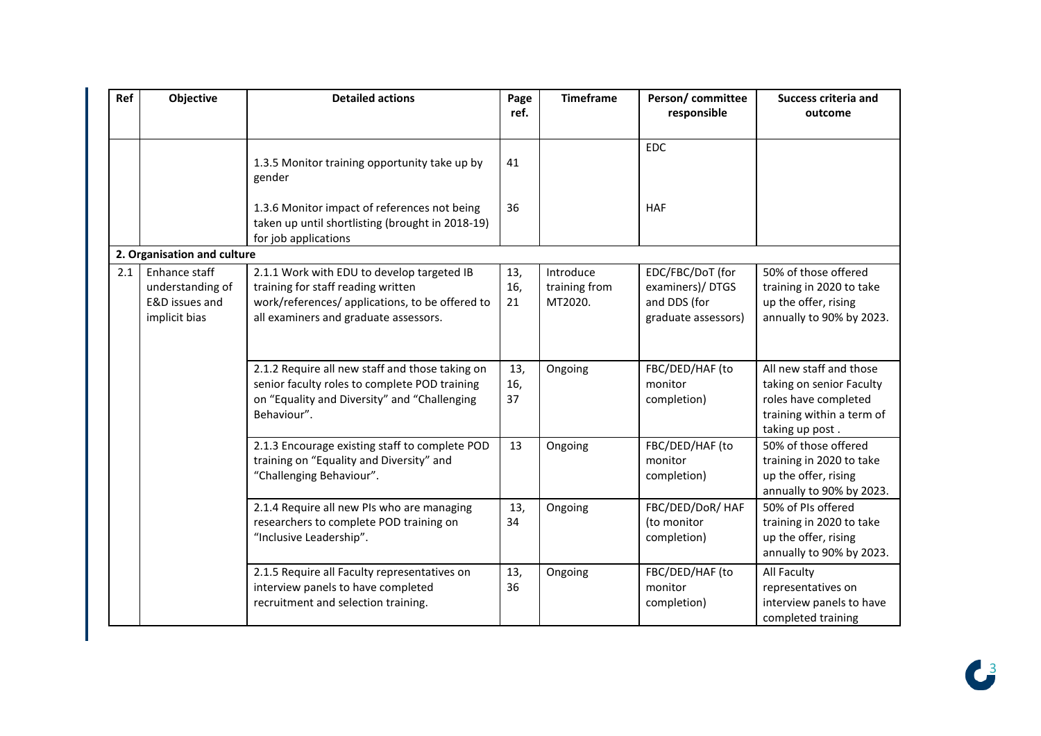| Ref | Objective                                                            | <b>Detailed actions</b>                                                                                                                                                      | Page<br>ref.     | <b>Timeframe</b>                      | Person/committee<br>responsible                                            | <b>Success criteria and</b><br>outcome                                                                                      |
|-----|----------------------------------------------------------------------|------------------------------------------------------------------------------------------------------------------------------------------------------------------------------|------------------|---------------------------------------|----------------------------------------------------------------------------|-----------------------------------------------------------------------------------------------------------------------------|
|     |                                                                      | 1.3.5 Monitor training opportunity take up by<br>gender                                                                                                                      | 41               |                                       | <b>EDC</b>                                                                 |                                                                                                                             |
|     |                                                                      | 1.3.6 Monitor impact of references not being<br>taken up until shortlisting (brought in 2018-19)<br>for job applications                                                     | 36               |                                       | <b>HAF</b>                                                                 |                                                                                                                             |
|     | 2. Organisation and culture                                          |                                                                                                                                                                              |                  |                                       |                                                                            |                                                                                                                             |
| 2.1 | Enhance staff<br>understanding of<br>E&D issues and<br>implicit bias | 2.1.1 Work with EDU to develop targeted IB<br>training for staff reading written<br>work/references/ applications, to be offered to<br>all examiners and graduate assessors. | 13,<br>16,<br>21 | Introduce<br>training from<br>MT2020. | EDC/FBC/DoT (for<br>examiners)/DTGS<br>and DDS (for<br>graduate assessors) | 50% of those offered<br>training in 2020 to take<br>up the offer, rising<br>annually to 90% by 2023.                        |
|     |                                                                      | 2.1.2 Require all new staff and those taking on<br>senior faculty roles to complete POD training<br>on "Equality and Diversity" and "Challenging<br>Behaviour".              | 13,<br>16,<br>37 | Ongoing                               | FBC/DED/HAF (to<br>monitor<br>completion)                                  | All new staff and those<br>taking on senior Faculty<br>roles have completed<br>training within a term of<br>taking up post. |
|     |                                                                      | 2.1.3 Encourage existing staff to complete POD<br>training on "Equality and Diversity" and<br>"Challenging Behaviour".                                                       | 13               | Ongoing                               | FBC/DED/HAF (to<br>monitor<br>completion)                                  | 50% of those offered<br>training in 2020 to take<br>up the offer, rising<br>annually to 90% by 2023.                        |
|     |                                                                      | 2.1.4 Require all new PIs who are managing<br>researchers to complete POD training on<br>"Inclusive Leadership".                                                             | 13,<br>34        | Ongoing                               | FBC/DED/DoR/ HAF<br>(to monitor<br>completion)                             | 50% of PIs offered<br>training in 2020 to take<br>up the offer, rising<br>annually to 90% by 2023.                          |
|     |                                                                      | 2.1.5 Require all Faculty representatives on<br>interview panels to have completed<br>recruitment and selection training.                                                    | 13,<br>36        | Ongoing                               | FBC/DED/HAF (to<br>monitor<br>completion)                                  | All Faculty<br>representatives on<br>interview panels to have<br>completed training                                         |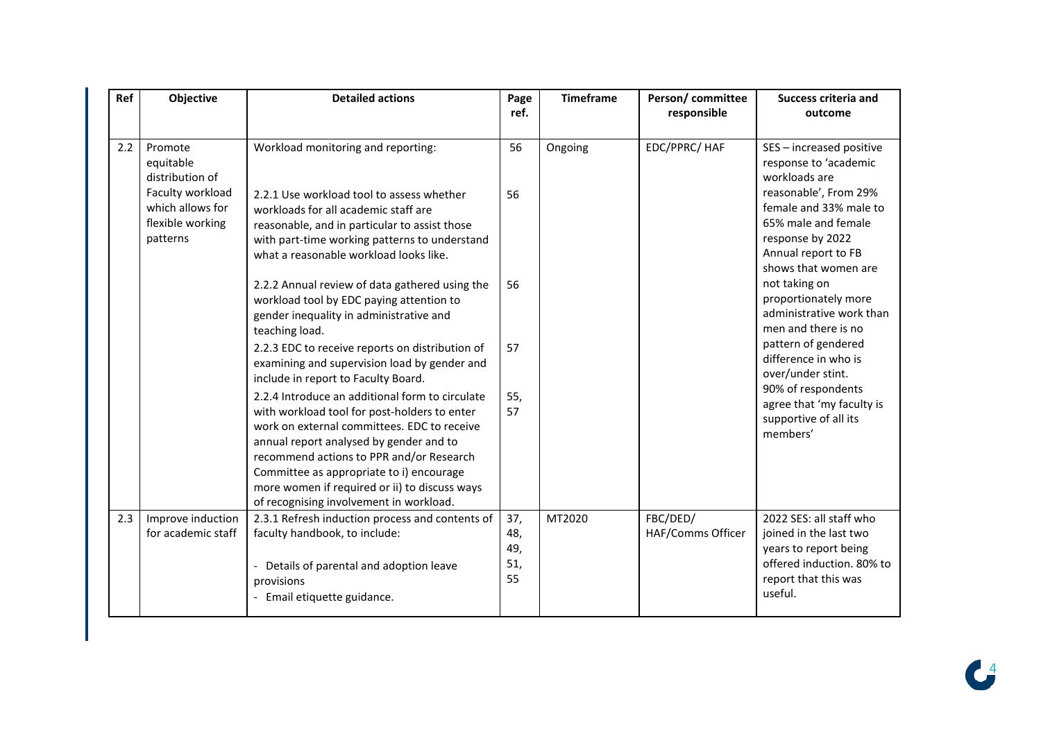| Ref | Objective                                                            | <b>Detailed actions</b>                                                                                                                                                                                                                                                                                                                                                       | Page<br>ref.                   | <b>Timeframe</b> | Person/committee<br>responsible | <b>Success criteria and</b><br>outcome                                                                                                     |
|-----|----------------------------------------------------------------------|-------------------------------------------------------------------------------------------------------------------------------------------------------------------------------------------------------------------------------------------------------------------------------------------------------------------------------------------------------------------------------|--------------------------------|------------------|---------------------------------|--------------------------------------------------------------------------------------------------------------------------------------------|
| 2.2 | Promote<br>equitable<br>distribution of                              | Workload monitoring and reporting:                                                                                                                                                                                                                                                                                                                                            | 56                             | Ongoing          | EDC/PPRC/ HAF                   | SES - increased positive<br>response to 'academic<br>workloads are                                                                         |
|     | Faculty workload<br>which allows for<br>flexible working<br>patterns | 2.2.1 Use workload tool to assess whether<br>workloads for all academic staff are<br>reasonable, and in particular to assist those<br>with part-time working patterns to understand<br>what a reasonable workload looks like.                                                                                                                                                 | 56                             |                  |                                 | reasonable', From 29%<br>female and 33% male to<br>65% male and female<br>response by 2022<br>Annual report to FB<br>shows that women are  |
|     |                                                                      | 2.2.2 Annual review of data gathered using the<br>workload tool by EDC paying attention to<br>gender inequality in administrative and<br>teaching load.                                                                                                                                                                                                                       | 56                             |                  |                                 | not taking on<br>proportionately more<br>administrative work than<br>men and there is no                                                   |
|     |                                                                      | 2.2.3 EDC to receive reports on distribution of<br>examining and supervision load by gender and<br>include in report to Faculty Board.                                                                                                                                                                                                                                        | 57                             |                  |                                 | pattern of gendered<br>difference in who is<br>over/under stint.                                                                           |
|     |                                                                      | 2.2.4 Introduce an additional form to circulate<br>with workload tool for post-holders to enter<br>work on external committees. EDC to receive<br>annual report analysed by gender and to<br>recommend actions to PPR and/or Research<br>Committee as appropriate to i) encourage<br>more women if required or ii) to discuss ways<br>of recognising involvement in workload. | 55,<br>57                      |                  |                                 | 90% of respondents<br>agree that 'my faculty is<br>supportive of all its<br>members'                                                       |
| 2.3 | Improve induction<br>for academic staff                              | 2.3.1 Refresh induction process and contents of<br>faculty handbook, to include:<br>- Details of parental and adoption leave<br>provisions<br>- Email etiquette guidance.                                                                                                                                                                                                     | 37,<br>48,<br>49,<br>51,<br>55 | MT2020           | FBC/DED/<br>HAF/Comms Officer   | 2022 SES: all staff who<br>joined in the last two<br>years to report being<br>offered induction. 80% to<br>report that this was<br>useful. |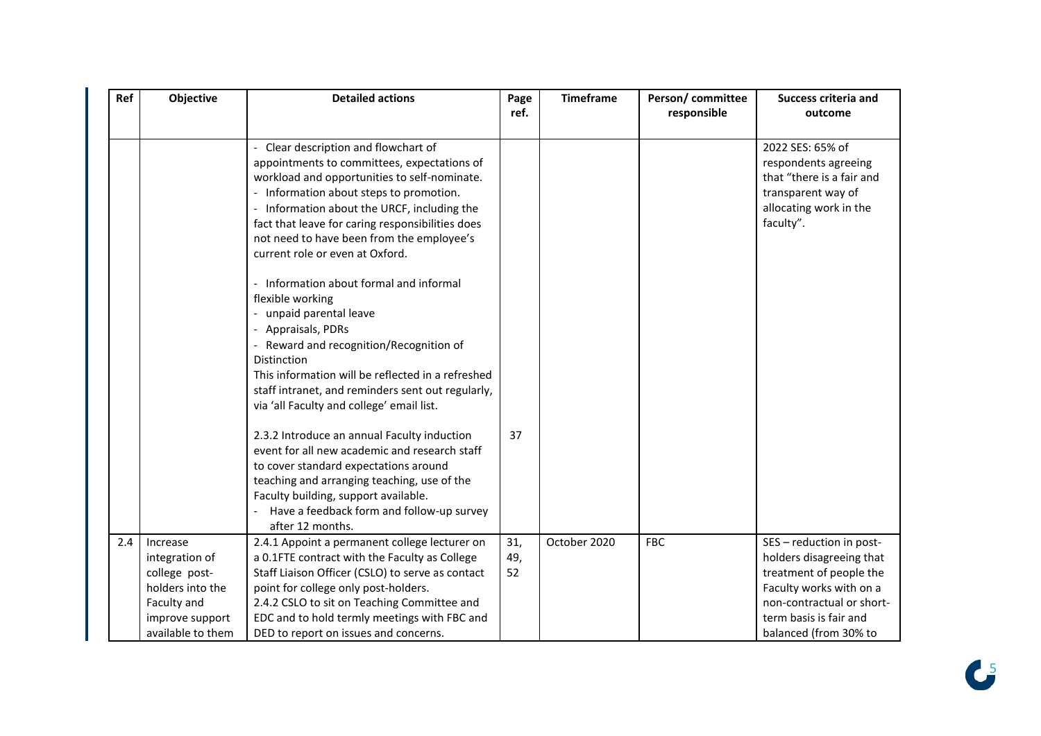| Ref | <b>Objective</b>                                                                                                       | <b>Detailed actions</b>                                                                                                                                                                                                                                                                                                                                         | Page<br>ref.     | <b>Timeframe</b> | Person/committee<br>responsible | <b>Success criteria and</b><br>outcome                                                                                                                                                     |
|-----|------------------------------------------------------------------------------------------------------------------------|-----------------------------------------------------------------------------------------------------------------------------------------------------------------------------------------------------------------------------------------------------------------------------------------------------------------------------------------------------------------|------------------|------------------|---------------------------------|--------------------------------------------------------------------------------------------------------------------------------------------------------------------------------------------|
|     |                                                                                                                        | Clear description and flowchart of<br>appointments to committees, expectations of<br>workload and opportunities to self-nominate.<br>- Information about steps to promotion.<br>- Information about the URCF, including the<br>fact that leave for caring responsibilities does<br>not need to have been from the employee's<br>current role or even at Oxford. |                  |                  |                                 | 2022 SES: 65% of<br>respondents agreeing<br>that "there is a fair and<br>transparent way of<br>allocating work in the<br>faculty".                                                         |
|     |                                                                                                                        | Information about formal and informal<br>flexible working<br>- unpaid parental leave<br>Appraisals, PDRs<br>Reward and recognition/Recognition of<br>Distinction<br>This information will be reflected in a refreshed<br>staff intranet, and reminders sent out regularly,<br>via 'all Faculty and college' email list.                                         |                  |                  |                                 |                                                                                                                                                                                            |
|     |                                                                                                                        | 2.3.2 Introduce an annual Faculty induction<br>event for all new academic and research staff<br>to cover standard expectations around<br>teaching and arranging teaching, use of the<br>Faculty building, support available.<br>Have a feedback form and follow-up survey<br>after 12 months.                                                                   | 37               |                  |                                 |                                                                                                                                                                                            |
| 2.4 | Increase<br>integration of<br>college post-<br>holders into the<br>Faculty and<br>improve support<br>available to them | 2.4.1 Appoint a permanent college lecturer on<br>a 0.1FTE contract with the Faculty as College<br>Staff Liaison Officer (CSLO) to serve as contact<br>point for college only post-holders.<br>2.4.2 CSLO to sit on Teaching Committee and<br>EDC and to hold termly meetings with FBC and<br>DED to report on issues and concerns.                              | 31,<br>49,<br>52 | October 2020     | <b>FBC</b>                      | SES - reduction in post-<br>holders disagreeing that<br>treatment of people the<br>Faculty works with on a<br>non-contractual or short-<br>term basis is fair and<br>balanced (from 30% to |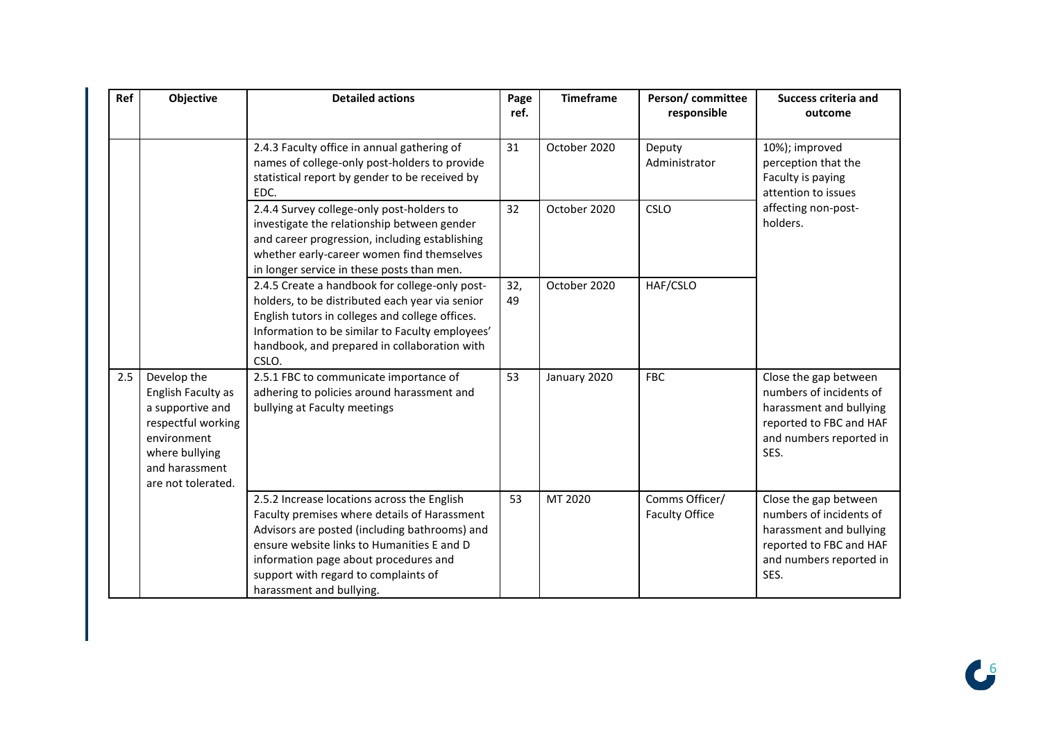| Ref | Objective                                                                                                                                            | <b>Detailed actions</b>                                                                                                                                                                                                                                                                                 | Page<br>ref. | <b>Timeframe</b> | Person/committee<br>responsible         | <b>Success criteria and</b><br>outcome                                                                                                    |
|-----|------------------------------------------------------------------------------------------------------------------------------------------------------|---------------------------------------------------------------------------------------------------------------------------------------------------------------------------------------------------------------------------------------------------------------------------------------------------------|--------------|------------------|-----------------------------------------|-------------------------------------------------------------------------------------------------------------------------------------------|
|     |                                                                                                                                                      | 2.4.3 Faculty office in annual gathering of<br>names of college-only post-holders to provide<br>statistical report by gender to be received by<br>EDC.                                                                                                                                                  | 31           | October 2020     | Deputy<br>Administrator                 | 10%); improved<br>perception that the<br>Faculty is paying<br>attention to issues                                                         |
|     |                                                                                                                                                      | 2.4.4 Survey college-only post-holders to<br>investigate the relationship between gender<br>and career progression, including establishing<br>whether early-career women find themselves<br>in longer service in these posts than men.                                                                  | 32           | October 2020     | CSLO                                    | affecting non-post-<br>holders.                                                                                                           |
|     |                                                                                                                                                      | 2.4.5 Create a handbook for college-only post-<br>holders, to be distributed each year via senior<br>English tutors in colleges and college offices.<br>Information to be similar to Faculty employees'<br>handbook, and prepared in collaboration with<br>CSLO.                                        | 32,<br>49    | October 2020     | HAF/CSLO                                |                                                                                                                                           |
| 2.5 | Develop the<br>English Faculty as<br>a supportive and<br>respectful working<br>environment<br>where bullying<br>and harassment<br>are not tolerated. | 2.5.1 FBC to communicate importance of<br>adhering to policies around harassment and<br>bullying at Faculty meetings                                                                                                                                                                                    | 53           | January 2020     | <b>FBC</b>                              | Close the gap between<br>numbers of incidents of<br>harassment and bullying<br>reported to FBC and HAF<br>and numbers reported in<br>SES. |
|     |                                                                                                                                                      | 2.5.2 Increase locations across the English<br>Faculty premises where details of Harassment<br>Advisors are posted (including bathrooms) and<br>ensure website links to Humanities E and D<br>information page about procedures and<br>support with regard to complaints of<br>harassment and bullying. | 53           | MT 2020          | Comms Officer/<br><b>Faculty Office</b> | Close the gap between<br>numbers of incidents of<br>harassment and bullying<br>reported to FBC and HAF<br>and numbers reported in<br>SES. |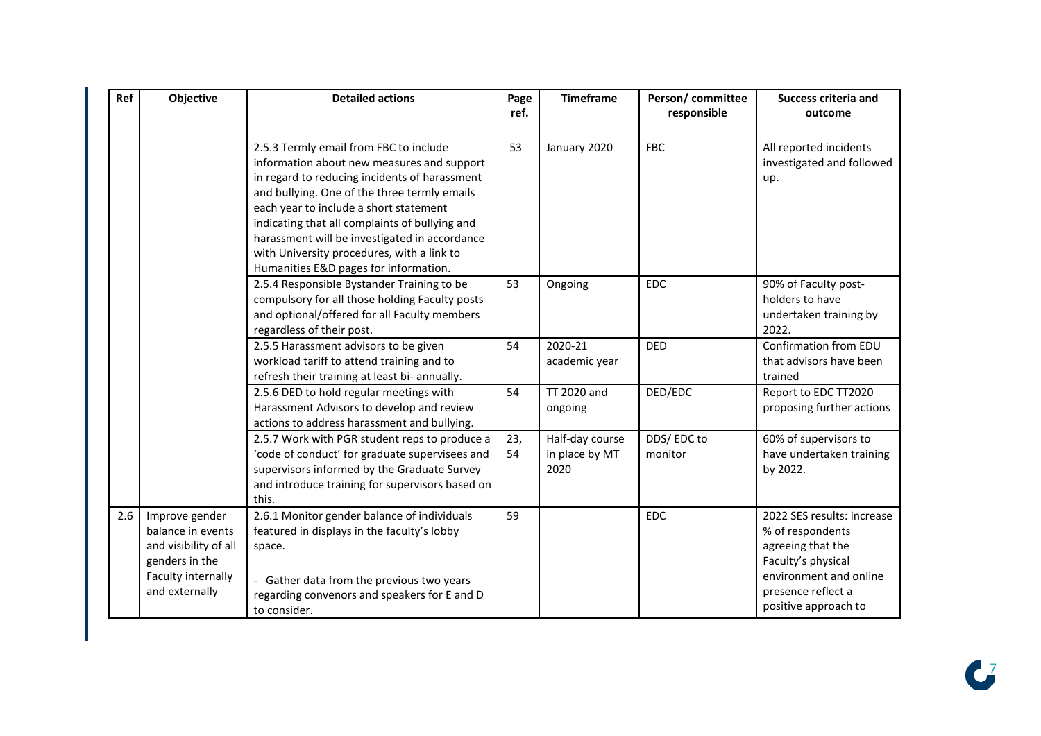| Ref | Objective                                                                                                              | <b>Detailed actions</b>                                                                                                                                                                                                                                                                                                                                                                                                   | Page<br>ref. | <b>Timeframe</b>                          | Person/committee<br>responsible | <b>Success criteria and</b><br>outcome                                                                                                                            |
|-----|------------------------------------------------------------------------------------------------------------------------|---------------------------------------------------------------------------------------------------------------------------------------------------------------------------------------------------------------------------------------------------------------------------------------------------------------------------------------------------------------------------------------------------------------------------|--------------|-------------------------------------------|---------------------------------|-------------------------------------------------------------------------------------------------------------------------------------------------------------------|
|     |                                                                                                                        | 2.5.3 Termly email from FBC to include<br>information about new measures and support<br>in regard to reducing incidents of harassment<br>and bullying. One of the three termly emails<br>each year to include a short statement<br>indicating that all complaints of bullying and<br>harassment will be investigated in accordance<br>with University procedures, with a link to<br>Humanities E&D pages for information. | 53           | January 2020                              | <b>FBC</b>                      | All reported incidents<br>investigated and followed<br>up.                                                                                                        |
|     |                                                                                                                        | 2.5.4 Responsible Bystander Training to be<br>compulsory for all those holding Faculty posts<br>and optional/offered for all Faculty members<br>regardless of their post.                                                                                                                                                                                                                                                 | 53           | Ongoing                                   | <b>EDC</b>                      | 90% of Faculty post-<br>holders to have<br>undertaken training by<br>2022.                                                                                        |
|     |                                                                                                                        | 2.5.5 Harassment advisors to be given<br>workload tariff to attend training and to<br>refresh their training at least bi- annually.                                                                                                                                                                                                                                                                                       | 54           | 2020-21<br>academic year                  | <b>DED</b>                      | Confirmation from EDU<br>that advisors have been<br>trained                                                                                                       |
|     |                                                                                                                        | 2.5.6 DED to hold regular meetings with<br>Harassment Advisors to develop and review<br>actions to address harassment and bullying.                                                                                                                                                                                                                                                                                       | 54           | TT 2020 and<br>ongoing                    | DED/EDC                         | Report to EDC TT2020<br>proposing further actions                                                                                                                 |
|     |                                                                                                                        | 2.5.7 Work with PGR student reps to produce a<br>'code of conduct' for graduate supervisees and<br>supervisors informed by the Graduate Survey<br>and introduce training for supervisors based on<br>this.                                                                                                                                                                                                                | 23,<br>54    | Half-day course<br>in place by MT<br>2020 | DDS/EDC to<br>monitor           | 60% of supervisors to<br>have undertaken training<br>by 2022.                                                                                                     |
| 2.6 | Improve gender<br>balance in events<br>and visibility of all<br>genders in the<br>Faculty internally<br>and externally | 2.6.1 Monitor gender balance of individuals<br>featured in displays in the faculty's lobby<br>space.<br>- Gather data from the previous two years<br>regarding convenors and speakers for E and D<br>to consider.                                                                                                                                                                                                         | 59           |                                           | <b>EDC</b>                      | 2022 SES results: increase<br>% of respondents<br>agreeing that the<br>Faculty's physical<br>environment and online<br>presence reflect a<br>positive approach to |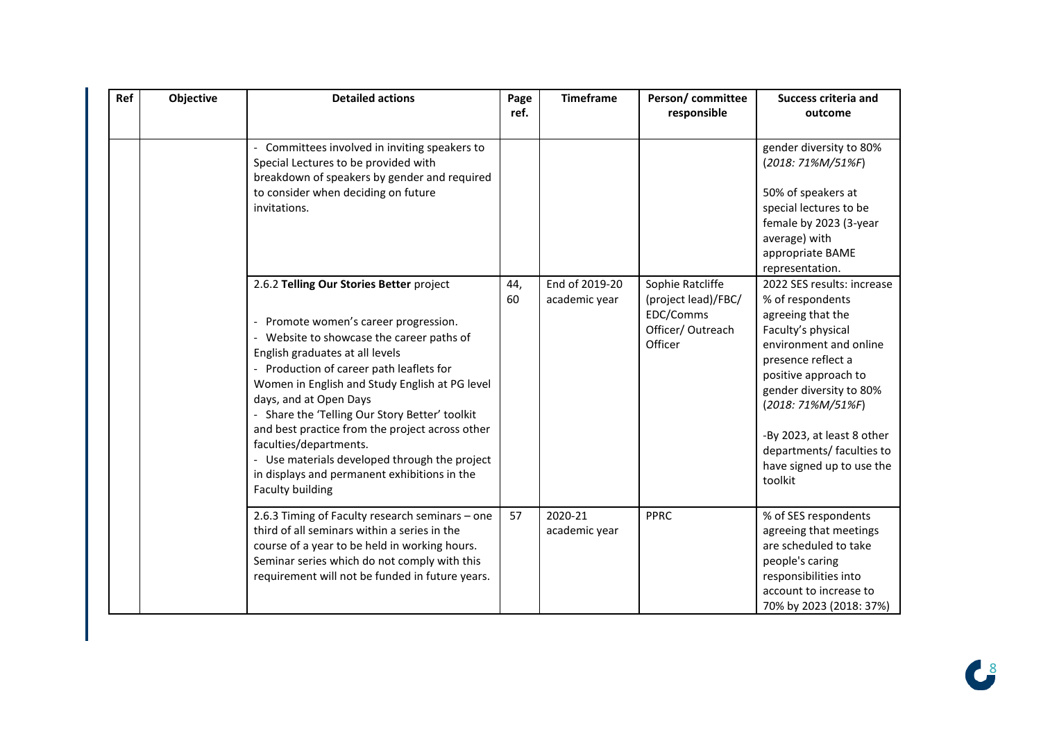| Ref | Objective | <b>Detailed actions</b>                                                                                                                                                                                                                                                                                                                                                                                                                                                                              | Page<br>ref. | <b>Timeframe</b>         | Person/committee<br>responsible                                 | <b>Success criteria and</b><br>outcome                                                                                                                                                                                                                                                 |
|-----|-----------|------------------------------------------------------------------------------------------------------------------------------------------------------------------------------------------------------------------------------------------------------------------------------------------------------------------------------------------------------------------------------------------------------------------------------------------------------------------------------------------------------|--------------|--------------------------|-----------------------------------------------------------------|----------------------------------------------------------------------------------------------------------------------------------------------------------------------------------------------------------------------------------------------------------------------------------------|
|     |           | Committees involved in inviting speakers to<br>Special Lectures to be provided with<br>breakdown of speakers by gender and required<br>to consider when deciding on future<br>invitations.<br>2.6.2 Telling Our Stories Better project                                                                                                                                                                                                                                                               | 44,          | End of 2019-20           | Sophie Ratcliffe                                                | gender diversity to 80%<br>(2018: 71%M/51%F)<br>50% of speakers at<br>special lectures to be<br>female by 2023 (3-year<br>average) with<br>appropriate BAME<br>representation.<br>2022 SES results: increase                                                                           |
|     |           | Promote women's career progression.<br>- Website to showcase the career paths of<br>English graduates at all levels<br>Production of career path leaflets for<br>Women in English and Study English at PG level<br>days, and at Open Days<br>- Share the 'Telling Our Story Better' toolkit<br>and best practice from the project across other<br>faculties/departments.<br>- Use materials developed through the project<br>in displays and permanent exhibitions in the<br><b>Faculty building</b> | 60           | academic year            | (project lead)/FBC/<br>EDC/Comms<br>Officer/Outreach<br>Officer | % of respondents<br>agreeing that the<br>Faculty's physical<br>environment and online<br>presence reflect a<br>positive approach to<br>gender diversity to 80%<br>(2018: 71%M/51%F)<br>-By 2023, at least 8 other<br>departments/ faculties to<br>have signed up to use the<br>toolkit |
|     |           | 2.6.3 Timing of Faculty research seminars - one<br>third of all seminars within a series in the<br>course of a year to be held in working hours.<br>Seminar series which do not comply with this<br>requirement will not be funded in future years.                                                                                                                                                                                                                                                  | 57           | 2020-21<br>academic year | <b>PPRC</b>                                                     | % of SES respondents<br>agreeing that meetings<br>are scheduled to take<br>people's caring<br>responsibilities into<br>account to increase to<br>70% by 2023 (2018: 37%)                                                                                                               |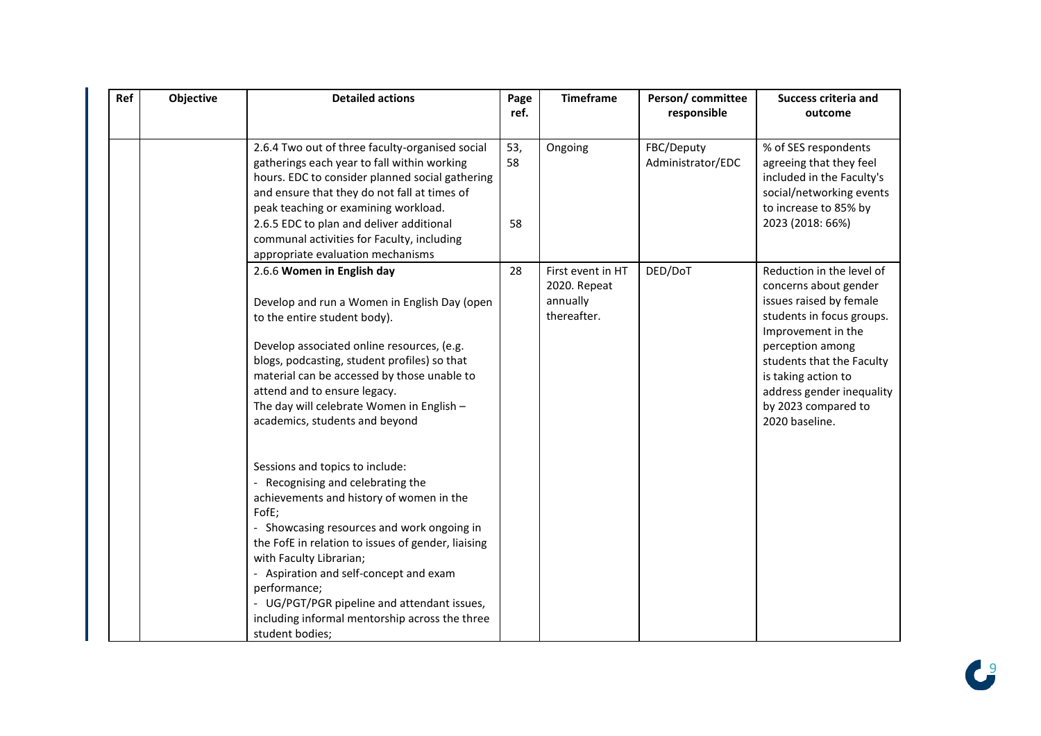| Ref | Objective | <b>Detailed actions</b>                                                                                                                                                                                                                                                                                                                                                                                                              | Page<br>ref.    | <b>Timeframe</b>                                             | Person/committee<br>responsible | <b>Success criteria and</b><br>outcome                                                                                                                                                                                                                                         |
|-----|-----------|--------------------------------------------------------------------------------------------------------------------------------------------------------------------------------------------------------------------------------------------------------------------------------------------------------------------------------------------------------------------------------------------------------------------------------------|-----------------|--------------------------------------------------------------|---------------------------------|--------------------------------------------------------------------------------------------------------------------------------------------------------------------------------------------------------------------------------------------------------------------------------|
|     |           | 2.6.4 Two out of three faculty-organised social<br>gatherings each year to fall within working<br>hours. EDC to consider planned social gathering<br>and ensure that they do not fall at times of<br>peak teaching or examining workload.<br>2.6.5 EDC to plan and deliver additional<br>communal activities for Faculty, including<br>appropriate evaluation mechanisms                                                             | 53,<br>58<br>58 | Ongoing                                                      | FBC/Deputy<br>Administrator/EDC | % of SES respondents<br>agreeing that they feel<br>included in the Faculty's<br>social/networking events<br>to increase to 85% by<br>2023 (2018: 66%)                                                                                                                          |
|     |           | 2.6.6 Women in English day<br>Develop and run a Women in English Day (open<br>to the entire student body).<br>Develop associated online resources, (e.g.<br>blogs, podcasting, student profiles) so that<br>material can be accessed by those unable to<br>attend and to ensure legacy.<br>The day will celebrate Women in English -<br>academics, students and beyond                                                               | 28              | First event in HT<br>2020. Repeat<br>annually<br>thereafter. | DED/DoT                         | Reduction in the level of<br>concerns about gender<br>issues raised by female<br>students in focus groups.<br>Improvement in the<br>perception among<br>students that the Faculty<br>is taking action to<br>address gender inequality<br>by 2023 compared to<br>2020 baseline. |
|     |           | Sessions and topics to include:<br>Recognising and celebrating the<br>achievements and history of women in the<br>FofE;<br>- Showcasing resources and work ongoing in<br>the FofE in relation to issues of gender, liaising<br>with Faculty Librarian;<br>- Aspiration and self-concept and exam<br>performance;<br>- UG/PGT/PGR pipeline and attendant issues,<br>including informal mentorship across the three<br>student bodies; |                 |                                                              |                                 |                                                                                                                                                                                                                                                                                |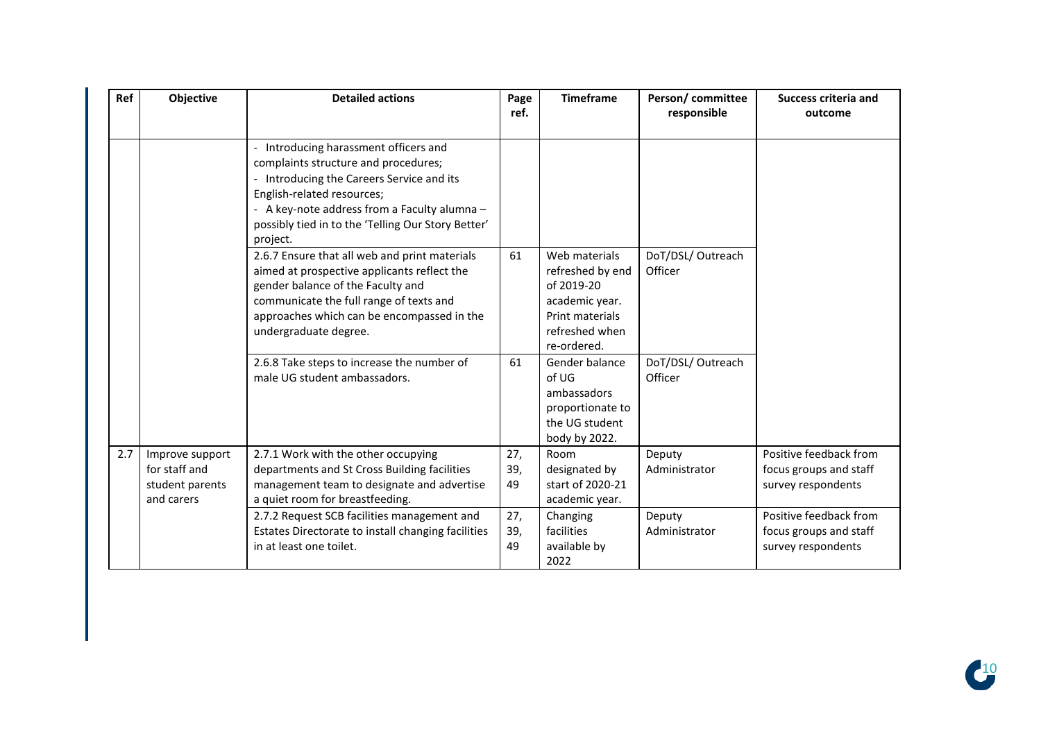| Ref | Objective                                                         | <b>Detailed actions</b>                                                                                                                                                                                                                                                    | Page<br>ref.     | <b>Timeframe</b>                                                                                                      | Person/committee<br>responsible | <b>Success criteria and</b><br>outcome                                 |
|-----|-------------------------------------------------------------------|----------------------------------------------------------------------------------------------------------------------------------------------------------------------------------------------------------------------------------------------------------------------------|------------------|-----------------------------------------------------------------------------------------------------------------------|---------------------------------|------------------------------------------------------------------------|
|     |                                                                   | - Introducing harassment officers and<br>complaints structure and procedures;<br>- Introducing the Careers Service and its<br>English-related resources;<br>- A key-note address from a Faculty alumna -<br>possibly tied in to the 'Telling Our Story Better'<br>project. |                  |                                                                                                                       |                                 |                                                                        |
|     |                                                                   | 2.6.7 Ensure that all web and print materials<br>aimed at prospective applicants reflect the<br>gender balance of the Faculty and<br>communicate the full range of texts and<br>approaches which can be encompassed in the<br>undergraduate degree.                        | 61               | Web materials<br>refreshed by end<br>of 2019-20<br>academic year.<br>Print materials<br>refreshed when<br>re-ordered. | DoT/DSL/ Outreach<br>Officer    |                                                                        |
|     |                                                                   | 2.6.8 Take steps to increase the number of<br>male UG student ambassadors.                                                                                                                                                                                                 | 61               | Gender balance<br>of UG<br>ambassadors<br>proportionate to<br>the UG student<br>body by 2022.                         | DoT/DSL/ Outreach<br>Officer    |                                                                        |
| 2.7 | Improve support<br>for staff and<br>student parents<br>and carers | 2.7.1 Work with the other occupying<br>departments and St Cross Building facilities<br>management team to designate and advertise<br>a quiet room for breastfeeding.                                                                                                       | 27,<br>39,<br>49 | Room<br>designated by<br>start of 2020-21<br>academic year.                                                           | Deputy<br>Administrator         | Positive feedback from<br>focus groups and staff<br>survey respondents |
|     |                                                                   | 2.7.2 Request SCB facilities management and<br>Estates Directorate to install changing facilities<br>in at least one toilet.                                                                                                                                               | 27,<br>39,<br>49 | Changing<br>facilities<br>available by<br>2022                                                                        | Deputy<br>Administrator         | Positive feedback from<br>focus groups and staff<br>survey respondents |

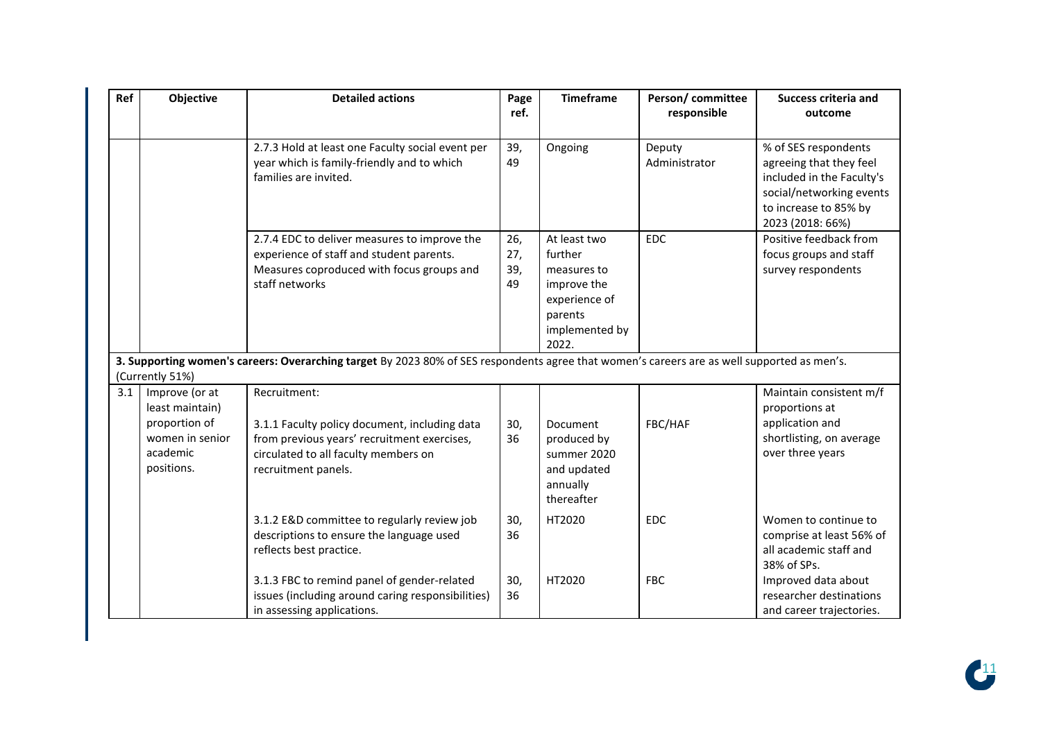| Ref | Objective                                                                                       | <b>Detailed actions</b>                                                                                                                                                     | Page<br>ref.            | <b>Timeframe</b>                                                                                             | Person/committee<br>responsible | <b>Success criteria and</b><br>outcome                                                                                                                |
|-----|-------------------------------------------------------------------------------------------------|-----------------------------------------------------------------------------------------------------------------------------------------------------------------------------|-------------------------|--------------------------------------------------------------------------------------------------------------|---------------------------------|-------------------------------------------------------------------------------------------------------------------------------------------------------|
|     |                                                                                                 | 2.7.3 Hold at least one Faculty social event per<br>year which is family-friendly and to which<br>families are invited.                                                     | 39,<br>49               | Ongoing                                                                                                      | Deputy<br>Administrator         | % of SES respondents<br>agreeing that they feel<br>included in the Faculty's<br>social/networking events<br>to increase to 85% by<br>2023 (2018: 66%) |
|     |                                                                                                 | 2.7.4 EDC to deliver measures to improve the<br>experience of staff and student parents.<br>Measures coproduced with focus groups and<br>staff networks                     | 26,<br>27,<br>39,<br>49 | At least two<br>further<br>measures to<br>improve the<br>experience of<br>parents<br>implemented by<br>2022. | <b>EDC</b>                      | Positive feedback from<br>focus groups and staff<br>survey respondents                                                                                |
|     | (Currently 51%)                                                                                 | 3. Supporting women's careers: Overarching target By 2023 80% of SES respondents agree that women's careers are as well supported as men's.                                 |                         |                                                                                                              |                                 |                                                                                                                                                       |
| 3.1 | Improve (or at<br>least maintain)<br>proportion of<br>women in senior<br>academic<br>positions. | Recruitment:<br>3.1.1 Faculty policy document, including data<br>from previous years' recruitment exercises,<br>circulated to all faculty members on<br>recruitment panels. | 30,<br>36               | Document<br>produced by<br>summer 2020<br>and updated<br>annually<br>thereafter                              | FBC/HAF                         | Maintain consistent m/f<br>proportions at<br>application and<br>shortlisting, on average<br>over three years                                          |
|     |                                                                                                 | 3.1.2 E&D committee to regularly review job<br>descriptions to ensure the language used<br>reflects best practice.                                                          | 30,<br>36               | HT2020                                                                                                       | <b>EDC</b>                      | Women to continue to<br>comprise at least 56% of<br>all academic staff and<br>38% of SPs.                                                             |
|     |                                                                                                 | 3.1.3 FBC to remind panel of gender-related<br>issues (including around caring responsibilities)<br>in assessing applications.                                              | 30,<br>36               | HT2020                                                                                                       | <b>FBC</b>                      | Improved data about<br>researcher destinations<br>and career trajectories.                                                                            |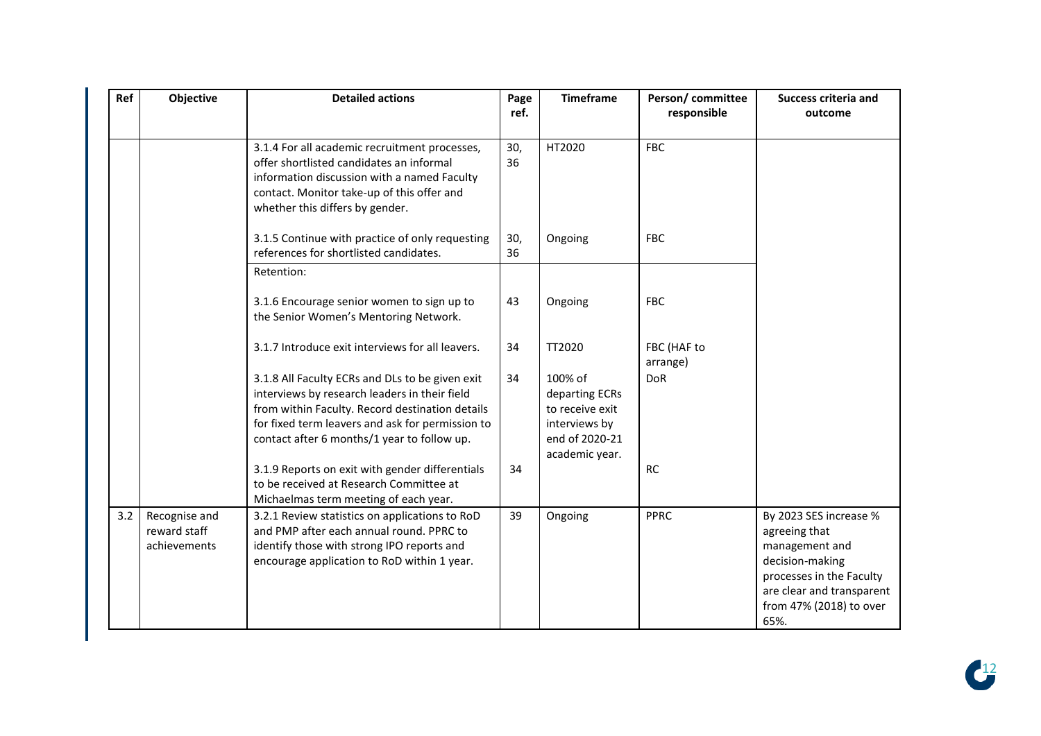| Ref | Objective                                     | <b>Detailed actions</b>                                                                                                                                                                                                                                | Page<br>ref. | <b>Timeframe</b>                                                                                  | Person/committee<br>responsible | <b>Success criteria and</b><br>outcome                                                                                                                                   |
|-----|-----------------------------------------------|--------------------------------------------------------------------------------------------------------------------------------------------------------------------------------------------------------------------------------------------------------|--------------|---------------------------------------------------------------------------------------------------|---------------------------------|--------------------------------------------------------------------------------------------------------------------------------------------------------------------------|
|     |                                               | 3.1.4 For all academic recruitment processes,<br>offer shortlisted candidates an informal<br>information discussion with a named Faculty<br>contact. Monitor take-up of this offer and<br>whether this differs by gender.                              | 30,<br>36    | HT2020                                                                                            | <b>FBC</b>                      |                                                                                                                                                                          |
|     |                                               | 3.1.5 Continue with practice of only requesting<br>references for shortlisted candidates.                                                                                                                                                              | 30,<br>36    | Ongoing                                                                                           | <b>FBC</b>                      |                                                                                                                                                                          |
|     |                                               | Retention:                                                                                                                                                                                                                                             |              |                                                                                                   |                                 |                                                                                                                                                                          |
|     |                                               | 3.1.6 Encourage senior women to sign up to<br>the Senior Women's Mentoring Network.                                                                                                                                                                    | 43           | Ongoing                                                                                           | <b>FBC</b>                      |                                                                                                                                                                          |
|     |                                               | 3.1.7 Introduce exit interviews for all leavers.                                                                                                                                                                                                       | 34           | TT2020                                                                                            | FBC (HAF to<br>arrange)         |                                                                                                                                                                          |
|     |                                               | 3.1.8 All Faculty ECRs and DLs to be given exit<br>interviews by research leaders in their field<br>from within Faculty. Record destination details<br>for fixed term leavers and ask for permission to<br>contact after 6 months/1 year to follow up. | 34           | 100% of<br>departing ECRs<br>to receive exit<br>interviews by<br>end of 2020-21<br>academic year. | <b>DoR</b>                      |                                                                                                                                                                          |
|     |                                               | 3.1.9 Reports on exit with gender differentials<br>to be received at Research Committee at<br>Michaelmas term meeting of each year.                                                                                                                    | 34           |                                                                                                   | <b>RC</b>                       |                                                                                                                                                                          |
| 3.2 | Recognise and<br>reward staff<br>achievements | 3.2.1 Review statistics on applications to RoD<br>and PMP after each annual round. PPRC to<br>identify those with strong IPO reports and<br>encourage application to RoD within 1 year.                                                                | 39           | Ongoing                                                                                           | <b>PPRC</b>                     | By 2023 SES increase %<br>agreeing that<br>management and<br>decision-making<br>processes in the Faculty<br>are clear and transparent<br>from 47% (2018) to over<br>65%. |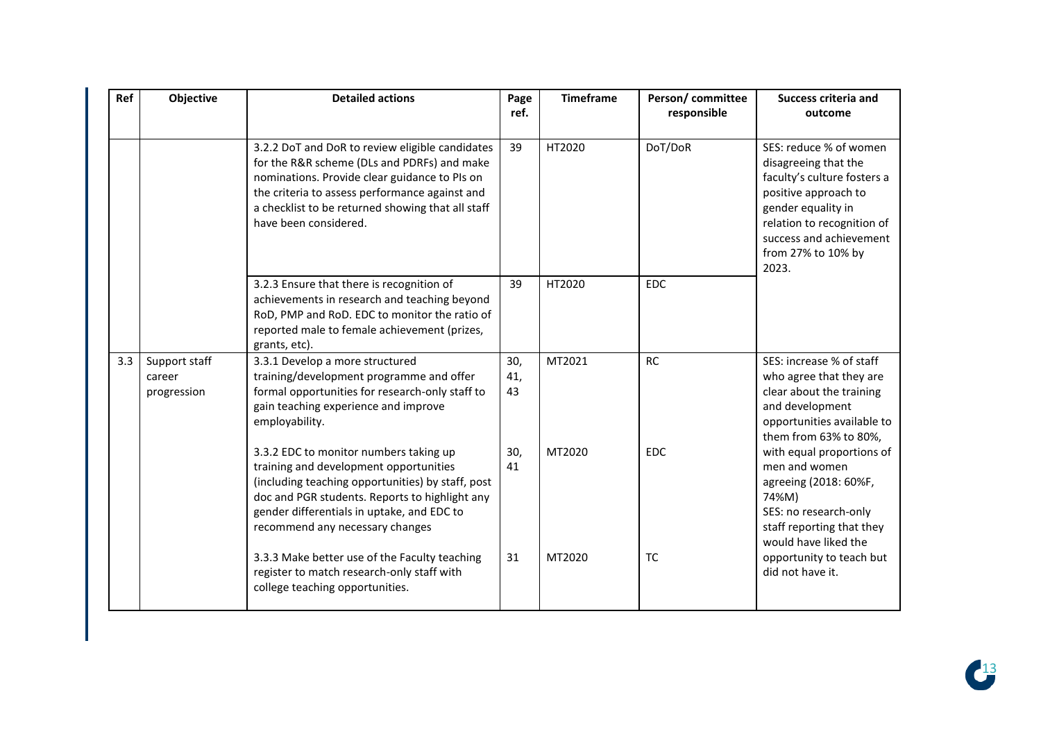| Ref | Objective                              | <b>Detailed actions</b>                                                                                                                                                                                                                                                         | Page<br>ref.     | <b>Timeframe</b> | Person/committee<br>responsible | <b>Success criteria and</b><br>outcome                                                                                                                                                                              |
|-----|----------------------------------------|---------------------------------------------------------------------------------------------------------------------------------------------------------------------------------------------------------------------------------------------------------------------------------|------------------|------------------|---------------------------------|---------------------------------------------------------------------------------------------------------------------------------------------------------------------------------------------------------------------|
|     |                                        | 3.2.2 DoT and DoR to review eligible candidates<br>for the R&R scheme (DLs and PDRFs) and make<br>nominations. Provide clear guidance to PIs on<br>the criteria to assess performance against and<br>a checklist to be returned showing that all staff<br>have been considered. | 39               | HT2020           | DoT/DoR                         | SES: reduce % of women<br>disagreeing that the<br>faculty's culture fosters a<br>positive approach to<br>gender equality in<br>relation to recognition of<br>success and achievement<br>from 27% to 10% by<br>2023. |
|     |                                        | 3.2.3 Ensure that there is recognition of<br>achievements in research and teaching beyond<br>RoD, PMP and RoD. EDC to monitor the ratio of<br>reported male to female achievement (prizes,<br>grants, etc).                                                                     | 39               | HT2020           | EDC                             |                                                                                                                                                                                                                     |
| 3.3 | Support staff<br>career<br>progression | 3.3.1 Develop a more structured<br>training/development programme and offer<br>formal opportunities for research-only staff to<br>gain teaching experience and improve<br>employability.                                                                                        | 30,<br>41,<br>43 | MT2021           | <b>RC</b>                       | SES: increase % of staff<br>who agree that they are<br>clear about the training<br>and development<br>opportunities available to<br>them from 63% to 80%,                                                           |
|     |                                        | 3.3.2 EDC to monitor numbers taking up<br>training and development opportunities<br>(including teaching opportunities) by staff, post<br>doc and PGR students. Reports to highlight any<br>gender differentials in uptake, and EDC to<br>recommend any necessary changes        | 30,<br>41        | MT2020           | <b>EDC</b>                      | with equal proportions of<br>men and women<br>agreeing (2018: 60%F,<br>74%M)<br>SES: no research-only<br>staff reporting that they<br>would have liked the                                                          |
|     |                                        | 3.3.3 Make better use of the Faculty teaching<br>register to match research-only staff with<br>college teaching opportunities.                                                                                                                                                  | 31               | MT2020           | <b>TC</b>                       | opportunity to teach but<br>did not have it.                                                                                                                                                                        |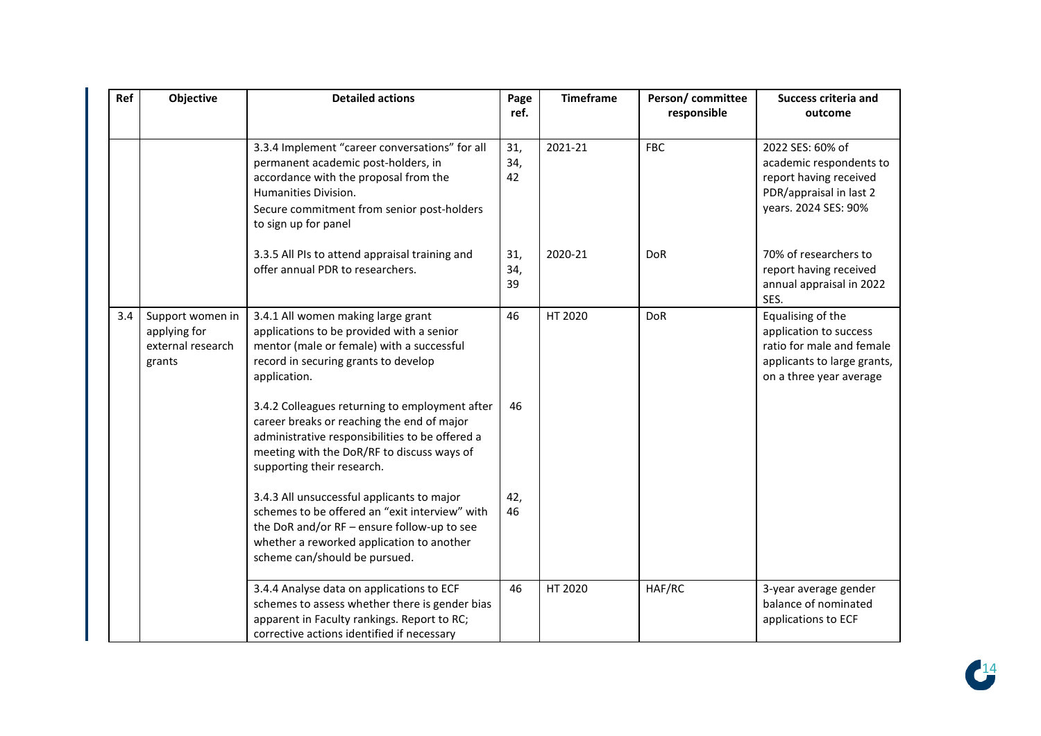| Ref | Objective                                                       | <b>Detailed actions</b>                                                                                                                                                                                                      | Page<br>ref.     | <b>Timeframe</b> | Person/committee<br>responsible | <b>Success criteria and</b><br>outcome                                                                                             |
|-----|-----------------------------------------------------------------|------------------------------------------------------------------------------------------------------------------------------------------------------------------------------------------------------------------------------|------------------|------------------|---------------------------------|------------------------------------------------------------------------------------------------------------------------------------|
|     |                                                                 |                                                                                                                                                                                                                              |                  |                  |                                 |                                                                                                                                    |
|     |                                                                 | 3.3.4 Implement "career conversations" for all<br>permanent academic post-holders, in<br>accordance with the proposal from the<br>Humanities Division.<br>Secure commitment from senior post-holders<br>to sign up for panel | 31,<br>34,<br>42 | 2021-21          | <b>FBC</b>                      | 2022 SES: 60% of<br>academic respondents to<br>report having received<br>PDR/appraisal in last 2<br>years. 2024 SES: 90%           |
|     |                                                                 | 3.3.5 All PIs to attend appraisal training and<br>offer annual PDR to researchers.                                                                                                                                           | 31,<br>34,<br>39 | 2020-21          | <b>DoR</b>                      | 70% of researchers to<br>report having received<br>annual appraisal in 2022<br>SES.                                                |
| 3.4 | Support women in<br>applying for<br>external research<br>grants | 3.4.1 All women making large grant<br>applications to be provided with a senior<br>mentor (male or female) with a successful<br>record in securing grants to develop<br>application.                                         | 46               | HT 2020          | <b>DoR</b>                      | Equalising of the<br>application to success<br>ratio for male and female<br>applicants to large grants,<br>on a three year average |
|     |                                                                 | 3.4.2 Colleagues returning to employment after<br>career breaks or reaching the end of major<br>administrative responsibilities to be offered a<br>meeting with the DoR/RF to discuss ways of<br>supporting their research.  | 46               |                  |                                 |                                                                                                                                    |
|     |                                                                 | 3.4.3 All unsuccessful applicants to major<br>schemes to be offered an "exit interview" with<br>the DoR and/or RF - ensure follow-up to see<br>whether a reworked application to another<br>scheme can/should be pursued.    | 42,<br>46        |                  |                                 |                                                                                                                                    |
|     |                                                                 | 3.4.4 Analyse data on applications to ECF<br>schemes to assess whether there is gender bias<br>apparent in Faculty rankings. Report to RC;<br>corrective actions identified if necessary                                     | 46               | HT 2020          | HAF/RC                          | 3-year average gender<br>balance of nominated<br>applications to ECF                                                               |

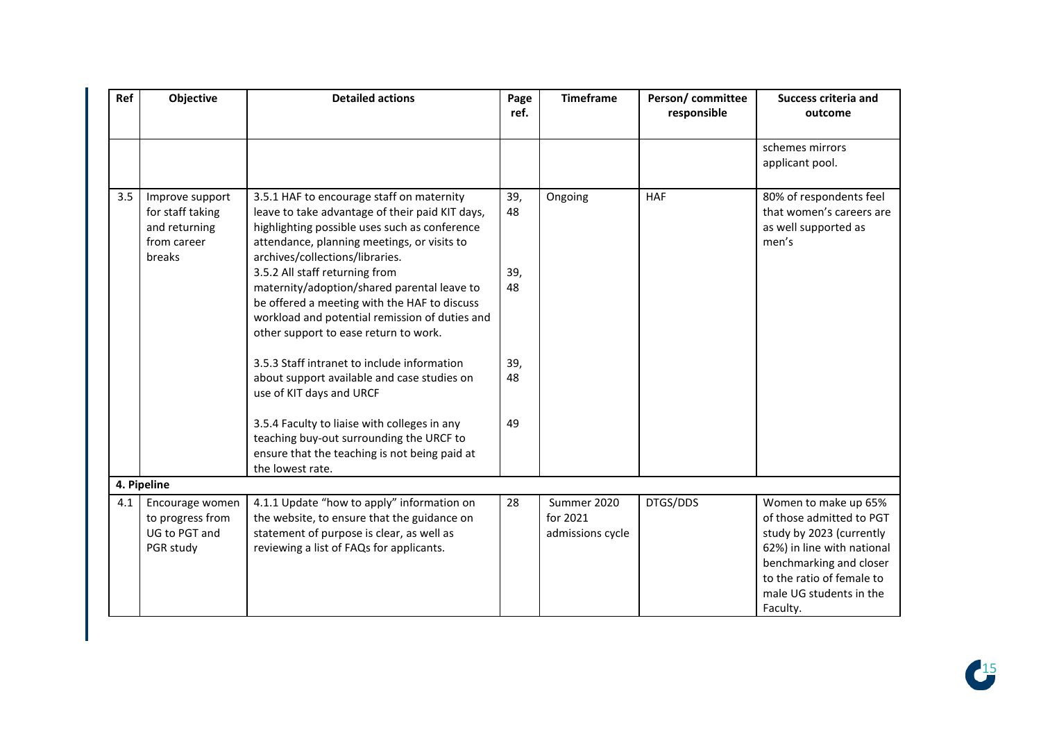| Ref | Objective                                                                     | <b>Detailed actions</b>                                                                                                                                                                                                                                                                                                                                                                                                                                                                                                                                                                                                                                                                                                            | Page<br>ref.                              | <b>Timeframe</b>                            | Person/ committee<br>responsible | <b>Success criteria and</b><br>outcome                                                                                                                                                                    |
|-----|-------------------------------------------------------------------------------|------------------------------------------------------------------------------------------------------------------------------------------------------------------------------------------------------------------------------------------------------------------------------------------------------------------------------------------------------------------------------------------------------------------------------------------------------------------------------------------------------------------------------------------------------------------------------------------------------------------------------------------------------------------------------------------------------------------------------------|-------------------------------------------|---------------------------------------------|----------------------------------|-----------------------------------------------------------------------------------------------------------------------------------------------------------------------------------------------------------|
|     |                                                                               |                                                                                                                                                                                                                                                                                                                                                                                                                                                                                                                                                                                                                                                                                                                                    |                                           |                                             |                                  | schemes mirrors<br>applicant pool.                                                                                                                                                                        |
| 3.5 | Improve support<br>for staff taking<br>and returning<br>from career<br>breaks | 3.5.1 HAF to encourage staff on maternity<br>leave to take advantage of their paid KIT days,<br>highlighting possible uses such as conference<br>attendance, planning meetings, or visits to<br>archives/collections/libraries.<br>3.5.2 All staff returning from<br>maternity/adoption/shared parental leave to<br>be offered a meeting with the HAF to discuss<br>workload and potential remission of duties and<br>other support to ease return to work.<br>3.5.3 Staff intranet to include information<br>about support available and case studies on<br>use of KIT days and URCF<br>3.5.4 Faculty to liaise with colleges in any<br>teaching buy-out surrounding the URCF to<br>ensure that the teaching is not being paid at | 39,<br>48<br>39,<br>48<br>39,<br>48<br>49 | Ongoing                                     | <b>HAF</b>                       | 80% of respondents feel<br>that women's careers are<br>as well supported as<br>men's                                                                                                                      |
|     | 4. Pipeline                                                                   | the lowest rate.                                                                                                                                                                                                                                                                                                                                                                                                                                                                                                                                                                                                                                                                                                                   |                                           |                                             |                                  |                                                                                                                                                                                                           |
| 4.1 | Encourage women<br>to progress from<br>UG to PGT and<br>PGR study             | 4.1.1 Update "how to apply" information on<br>the website, to ensure that the guidance on<br>statement of purpose is clear, as well as<br>reviewing a list of FAQs for applicants.                                                                                                                                                                                                                                                                                                                                                                                                                                                                                                                                                 | 28                                        | Summer 2020<br>for 2021<br>admissions cycle | DTGS/DDS                         | Women to make up 65%<br>of those admitted to PGT<br>study by 2023 (currently<br>62%) in line with national<br>benchmarking and closer<br>to the ratio of female to<br>male UG students in the<br>Faculty. |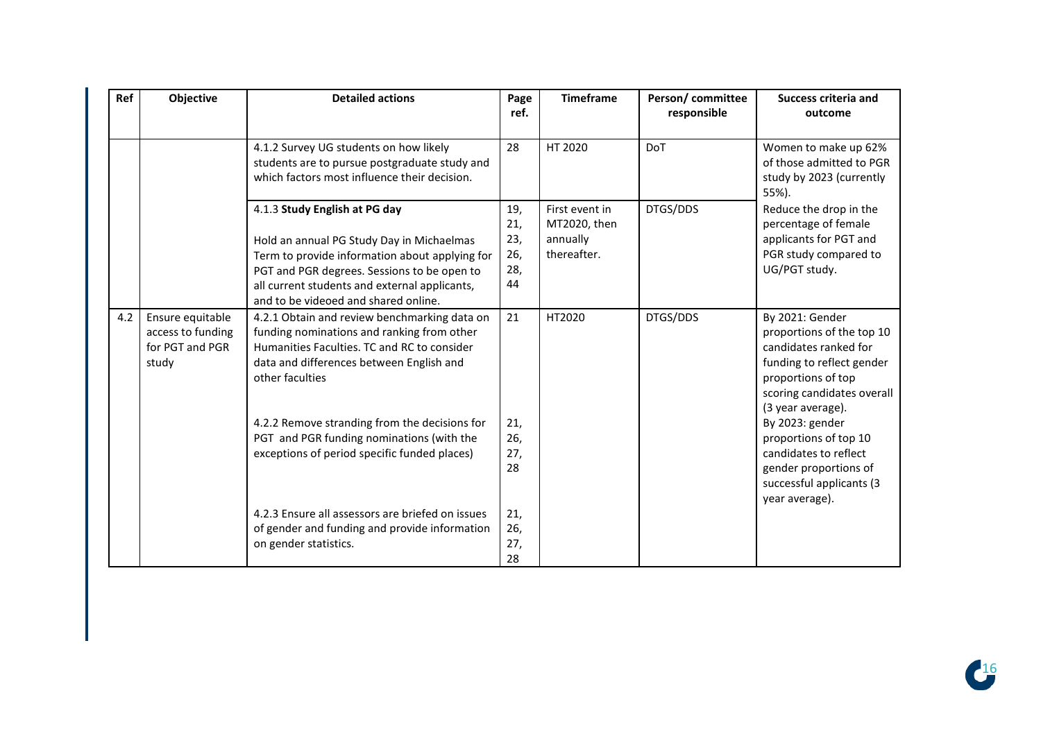| <b>Ref</b> | Objective                                                         | <b>Detailed actions</b>                                                                                                                                                                                                                                              | Page<br>ref.                          | <b>Timeframe</b>                                          | Person/committee<br>responsible | <b>Success criteria and</b><br>outcome                                                                                                                                      |
|------------|-------------------------------------------------------------------|----------------------------------------------------------------------------------------------------------------------------------------------------------------------------------------------------------------------------------------------------------------------|---------------------------------------|-----------------------------------------------------------|---------------------------------|-----------------------------------------------------------------------------------------------------------------------------------------------------------------------------|
|            |                                                                   | 4.1.2 Survey UG students on how likely<br>students are to pursue postgraduate study and<br>which factors most influence their decision.                                                                                                                              | 28                                    | HT 2020                                                   | <b>DoT</b>                      | Women to make up 62%<br>of those admitted to PGR<br>study by 2023 (currently<br>55%).                                                                                       |
|            |                                                                   | 4.1.3 Study English at PG day<br>Hold an annual PG Study Day in Michaelmas<br>Term to provide information about applying for<br>PGT and PGR degrees. Sessions to be open to<br>all current students and external applicants,<br>and to be videoed and shared online. | 19,<br>21,<br>23,<br>26,<br>28,<br>44 | First event in<br>MT2020, then<br>annually<br>thereafter. | DTGS/DDS                        | Reduce the drop in the<br>percentage of female<br>applicants for PGT and<br>PGR study compared to<br>UG/PGT study.                                                          |
| 4.2        | Ensure equitable<br>access to funding<br>for PGT and PGR<br>study | 4.2.1 Obtain and review benchmarking data on<br>funding nominations and ranking from other<br>Humanities Faculties. TC and RC to consider<br>data and differences between English and<br>other faculties                                                             | 21                                    | HT2020                                                    | DTGS/DDS                        | By 2021: Gender<br>proportions of the top 10<br>candidates ranked for<br>funding to reflect gender<br>proportions of top<br>scoring candidates overall<br>(3 year average). |
|            |                                                                   | 4.2.2 Remove stranding from the decisions for<br>PGT and PGR funding nominations (with the<br>exceptions of period specific funded places)                                                                                                                           | 21,<br>26,<br>27,<br>28               |                                                           |                                 | By 2023: gender<br>proportions of top 10<br>candidates to reflect<br>gender proportions of<br>successful applicants (3<br>year average).                                    |
|            |                                                                   | 4.2.3 Ensure all assessors are briefed on issues<br>of gender and funding and provide information<br>on gender statistics.                                                                                                                                           | 21,<br>26,<br>27,<br>28               |                                                           |                                 |                                                                                                                                                                             |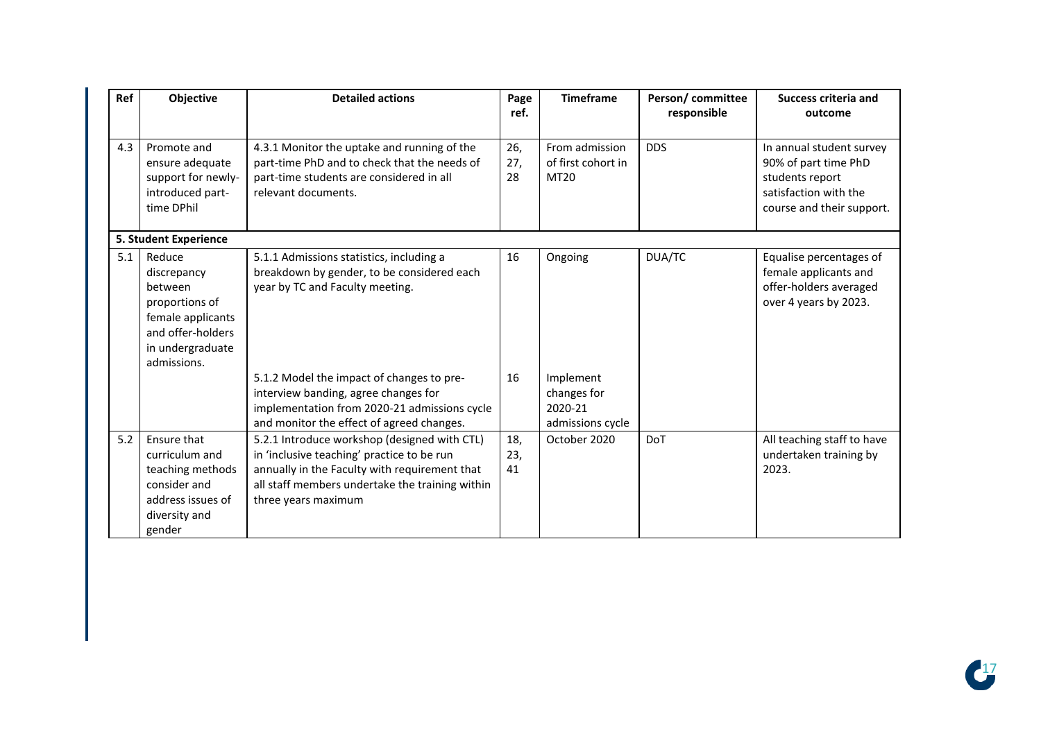| Ref | Objective                                                                                                                       | <b>Detailed actions</b>                                                                                                                                                                                               | Page<br>ref.     | <b>Timeframe</b>                                        | Person/committee<br>responsible | <b>Success criteria and</b><br>outcome                                                                                    |
|-----|---------------------------------------------------------------------------------------------------------------------------------|-----------------------------------------------------------------------------------------------------------------------------------------------------------------------------------------------------------------------|------------------|---------------------------------------------------------|---------------------------------|---------------------------------------------------------------------------------------------------------------------------|
| 4.3 | Promote and<br>ensure adequate<br>support for newly-<br>introduced part-<br>time DPhil                                          | 4.3.1 Monitor the uptake and running of the<br>part-time PhD and to check that the needs of<br>part-time students are considered in all<br>relevant documents.                                                        | 26,<br>27,<br>28 | From admission<br>of first cohort in<br>MT20            | <b>DDS</b>                      | In annual student survey<br>90% of part time PhD<br>students report<br>satisfaction with the<br>course and their support. |
|     | 5. Student Experience                                                                                                           |                                                                                                                                                                                                                       |                  |                                                         |                                 |                                                                                                                           |
| 5.1 | Reduce<br>discrepancy<br>between<br>proportions of<br>female applicants<br>and offer-holders<br>in undergraduate<br>admissions. | 5.1.1 Admissions statistics, including a<br>breakdown by gender, to be considered each<br>year by TC and Faculty meeting.                                                                                             | 16               | Ongoing                                                 | DUA/TC                          | Equalise percentages of<br>female applicants and<br>offer-holders averaged<br>over 4 years by 2023.                       |
|     |                                                                                                                                 | 5.1.2 Model the impact of changes to pre-<br>interview banding, agree changes for<br>implementation from 2020-21 admissions cycle<br>and monitor the effect of agreed changes.                                        | 16               | Implement<br>changes for<br>2020-21<br>admissions cycle |                                 |                                                                                                                           |
| 5.2 | Ensure that<br>curriculum and<br>teaching methods<br>consider and<br>address issues of<br>diversity and<br>gender               | 5.2.1 Introduce workshop (designed with CTL)<br>in 'inclusive teaching' practice to be run<br>annually in the Faculty with requirement that<br>all staff members undertake the training within<br>three years maximum | 18,<br>23,<br>41 | October 2020                                            | DoT                             | All teaching staff to have<br>undertaken training by<br>2023.                                                             |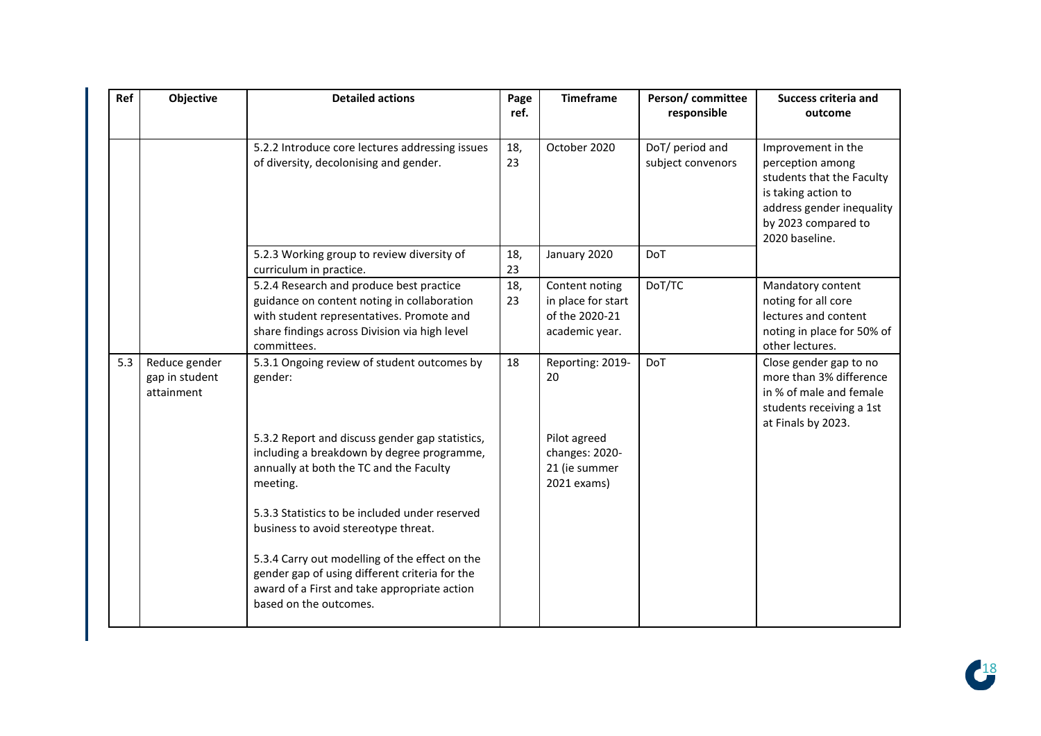| Ref | Objective                                     | <b>Detailed actions</b>                                                                                                                                                                              | Page<br>ref. | <b>Timeframe</b>                                                         | Person/committee<br>responsible      | <b>Success criteria and</b><br>outcome                                                                                                                           |
|-----|-----------------------------------------------|------------------------------------------------------------------------------------------------------------------------------------------------------------------------------------------------------|--------------|--------------------------------------------------------------------------|--------------------------------------|------------------------------------------------------------------------------------------------------------------------------------------------------------------|
|     |                                               | 5.2.2 Introduce core lectures addressing issues<br>of diversity, decolonising and gender.                                                                                                            | 18,<br>23    | October 2020                                                             | DoT/ period and<br>subject convenors | Improvement in the<br>perception among<br>students that the Faculty<br>is taking action to<br>address gender inequality<br>by 2023 compared to<br>2020 baseline. |
|     |                                               | 5.2.3 Working group to review diversity of<br>curriculum in practice.                                                                                                                                | 18,<br>23    | January 2020                                                             | DoT                                  |                                                                                                                                                                  |
|     |                                               | 5.2.4 Research and produce best practice<br>guidance on content noting in collaboration<br>with student representatives. Promote and<br>share findings across Division via high level<br>committees. | 18,<br>23    | Content noting<br>in place for start<br>of the 2020-21<br>academic year. | DoT/TC                               | Mandatory content<br>noting for all core<br>lectures and content<br>noting in place for 50% of<br>other lectures.                                                |
| 5.3 | Reduce gender<br>gap in student<br>attainment | 5.3.1 Ongoing review of student outcomes by<br>gender:                                                                                                                                               | 18           | Reporting: 2019-<br>20                                                   | DoT                                  | Close gender gap to no<br>more than 3% difference<br>in % of male and female<br>students receiving a 1st<br>at Finals by 2023.                                   |
|     |                                               | 5.3.2 Report and discuss gender gap statistics,<br>including a breakdown by degree programme,<br>annually at both the TC and the Faculty<br>meeting.                                                 |              | Pilot agreed<br>changes: 2020-<br>21 (ie summer<br>2021 exams)           |                                      |                                                                                                                                                                  |
|     |                                               | 5.3.3 Statistics to be included under reserved<br>business to avoid stereotype threat.                                                                                                               |              |                                                                          |                                      |                                                                                                                                                                  |
|     |                                               | 5.3.4 Carry out modelling of the effect on the<br>gender gap of using different criteria for the<br>award of a First and take appropriate action<br>based on the outcomes.                           |              |                                                                          |                                      |                                                                                                                                                                  |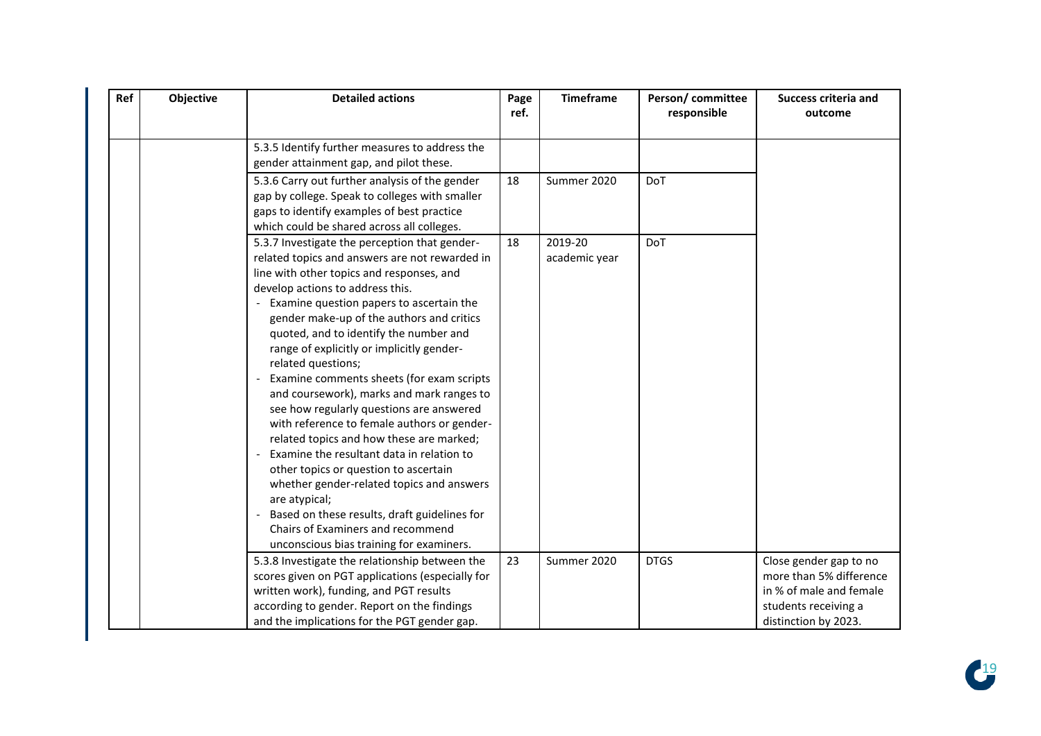| Ref | Objective | <b>Detailed actions</b>                                                                                                                                                                                                                                                                                                                                                                                                                                                                                                                                                                                                                                                                                                                                                                                                                                                                                      | Page<br>ref. | <b>Timeframe</b>         | Person/committee<br>responsible | <b>Success criteria and</b><br>outcome                                                             |
|-----|-----------|--------------------------------------------------------------------------------------------------------------------------------------------------------------------------------------------------------------------------------------------------------------------------------------------------------------------------------------------------------------------------------------------------------------------------------------------------------------------------------------------------------------------------------------------------------------------------------------------------------------------------------------------------------------------------------------------------------------------------------------------------------------------------------------------------------------------------------------------------------------------------------------------------------------|--------------|--------------------------|---------------------------------|----------------------------------------------------------------------------------------------------|
|     |           | 5.3.5 Identify further measures to address the<br>gender attainment gap, and pilot these.                                                                                                                                                                                                                                                                                                                                                                                                                                                                                                                                                                                                                                                                                                                                                                                                                    |              |                          |                                 |                                                                                                    |
|     |           | 5.3.6 Carry out further analysis of the gender<br>gap by college. Speak to colleges with smaller<br>gaps to identify examples of best practice<br>which could be shared across all colleges.                                                                                                                                                                                                                                                                                                                                                                                                                                                                                                                                                                                                                                                                                                                 | 18           | Summer 2020              | <b>DoT</b>                      |                                                                                                    |
|     |           | 5.3.7 Investigate the perception that gender-<br>related topics and answers are not rewarded in<br>line with other topics and responses, and<br>develop actions to address this.<br>Examine question papers to ascertain the<br>gender make-up of the authors and critics<br>quoted, and to identify the number and<br>range of explicitly or implicitly gender-<br>related questions;<br>Examine comments sheets (for exam scripts<br>and coursework), marks and mark ranges to<br>see how regularly questions are answered<br>with reference to female authors or gender-<br>related topics and how these are marked;<br>Examine the resultant data in relation to<br>other topics or question to ascertain<br>whether gender-related topics and answers<br>are atypical;<br>Based on these results, draft guidelines for<br>Chairs of Examiners and recommend<br>unconscious bias training for examiners. | 18           | 2019-20<br>academic year | DoT                             |                                                                                                    |
|     |           | 5.3.8 Investigate the relationship between the                                                                                                                                                                                                                                                                                                                                                                                                                                                                                                                                                                                                                                                                                                                                                                                                                                                               | 23           | Summer 2020              | <b>DTGS</b>                     | Close gender gap to no                                                                             |
|     |           | scores given on PGT applications (especially for<br>written work), funding, and PGT results<br>according to gender. Report on the findings<br>and the implications for the PGT gender gap.                                                                                                                                                                                                                                                                                                                                                                                                                                                                                                                                                                                                                                                                                                                   |              |                          |                                 | more than 5% difference<br>in % of male and female<br>students receiving a<br>distinction by 2023. |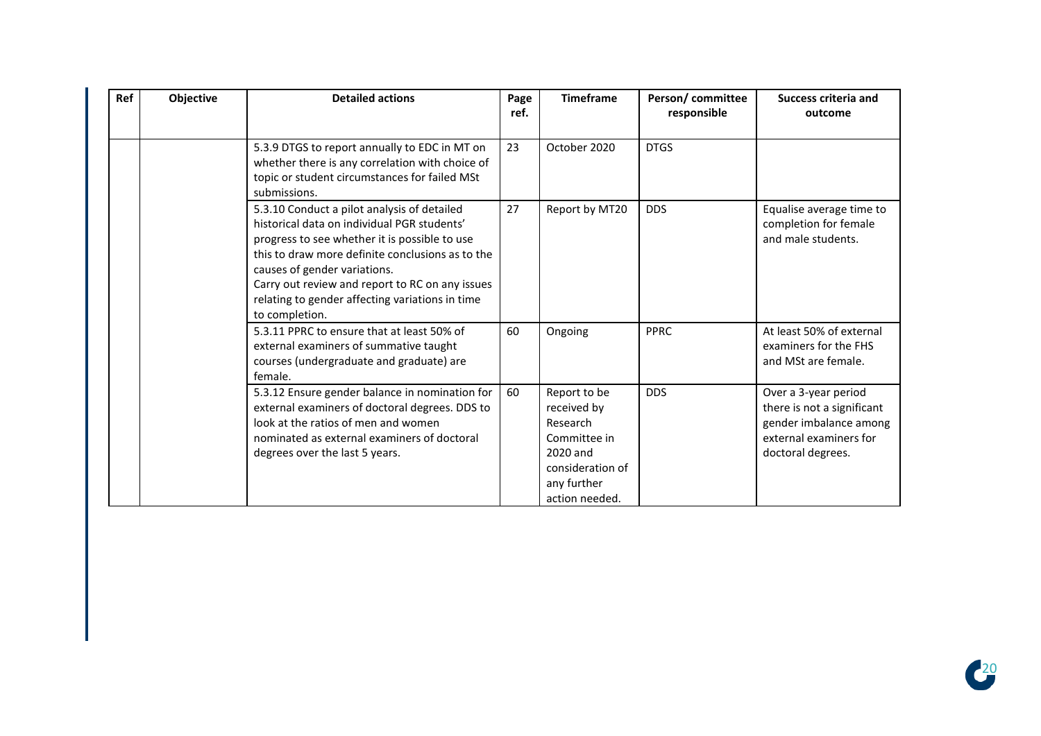| Ref | Objective | <b>Detailed actions</b>                                                                                                                                                                                                                                                                                                                                 | Page<br>ref. | <b>Timeframe</b>                                                                                                         | Person/committee<br>responsible | Success criteria and<br>outcome                                                                                             |
|-----|-----------|---------------------------------------------------------------------------------------------------------------------------------------------------------------------------------------------------------------------------------------------------------------------------------------------------------------------------------------------------------|--------------|--------------------------------------------------------------------------------------------------------------------------|---------------------------------|-----------------------------------------------------------------------------------------------------------------------------|
|     |           | 5.3.9 DTGS to report annually to EDC in MT on<br>whether there is any correlation with choice of<br>topic or student circumstances for failed MSt<br>submissions.                                                                                                                                                                                       | 23           | October 2020                                                                                                             | <b>DTGS</b>                     |                                                                                                                             |
|     |           | 5.3.10 Conduct a pilot analysis of detailed<br>historical data on individual PGR students'<br>progress to see whether it is possible to use<br>this to draw more definite conclusions as to the<br>causes of gender variations.<br>Carry out review and report to RC on any issues<br>relating to gender affecting variations in time<br>to completion. | 27           | Report by MT20                                                                                                           | <b>DDS</b>                      | Equalise average time to<br>completion for female<br>and male students.                                                     |
|     |           | 5.3.11 PPRC to ensure that at least 50% of<br>external examiners of summative taught<br>courses (undergraduate and graduate) are<br>female.                                                                                                                                                                                                             | 60           | Ongoing                                                                                                                  | <b>PPRC</b>                     | At least 50% of external<br>examiners for the FHS<br>and MSt are female.                                                    |
|     |           | 5.3.12 Ensure gender balance in nomination for<br>external examiners of doctoral degrees. DDS to<br>look at the ratios of men and women<br>nominated as external examiners of doctoral<br>degrees over the last 5 years.                                                                                                                                | 60           | Report to be<br>received by<br>Research<br>Committee in<br>2020 and<br>consideration of<br>any further<br>action needed. | <b>DDS</b>                      | Over a 3-year period<br>there is not a significant<br>gender imbalance among<br>external examiners for<br>doctoral degrees. |